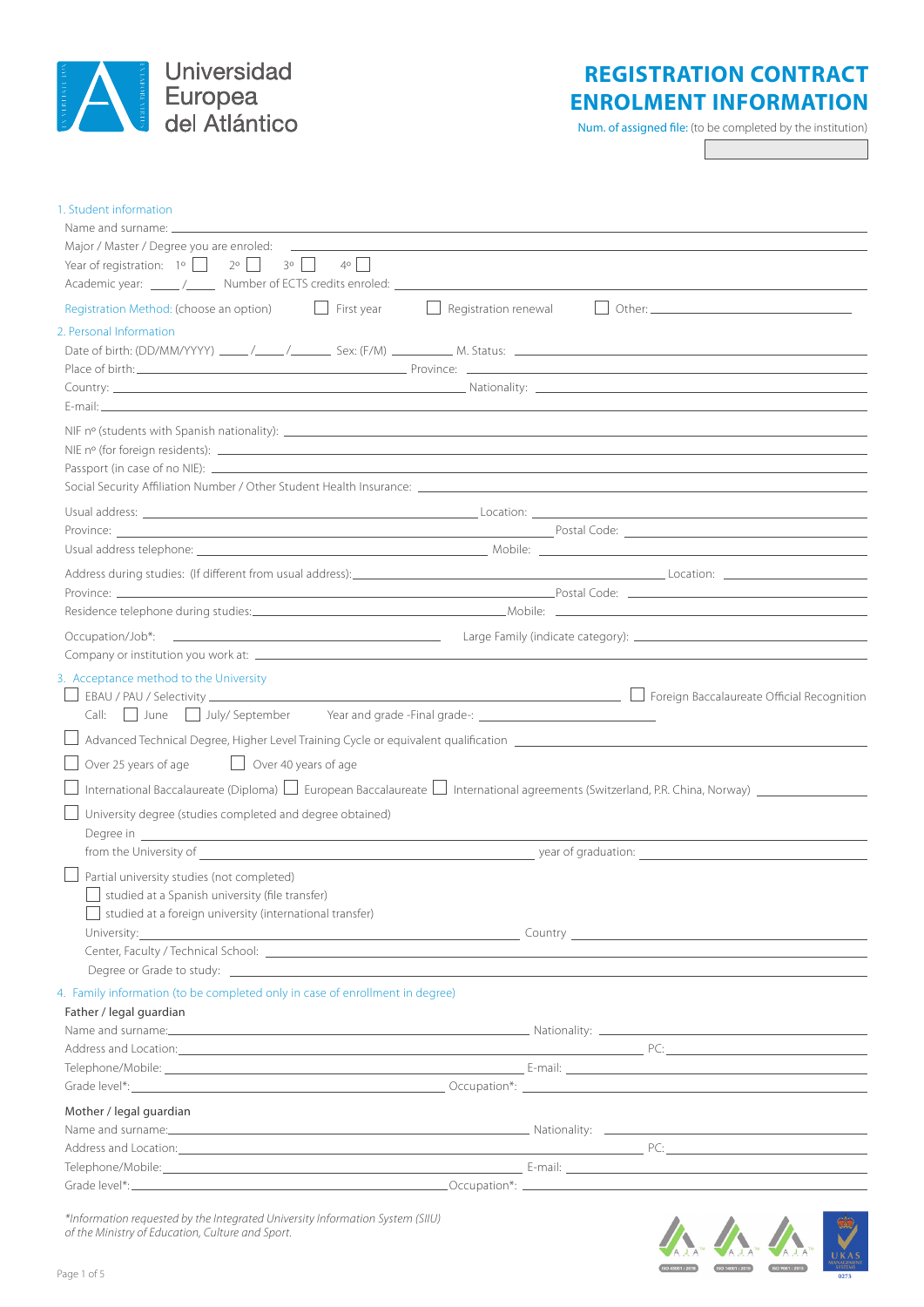

# **REGISTRATION CONTRACT ENROLMENT INFORMATION**

Num. of assigned file: (to be completed by the institution)

1. Student information Name and surname: Major / Master / Degree you are enroled: Year of registration:  $1^{\circ}$   $\begin{array}{ccc} \circ & \circ & \circ \\ \circ & \circ & \circ \end{array}$  3°  $\begin{array}{ccc} \circ & \circ & \circ \\ \circ & \circ & \circ \end{array}$ Academic year: \_\_\_\_\_ /\_\_\_\_\_ Number of ECTS credits enroled:  $\Box$  Registration Method: (choose an option)  $\Box$  First year  $\Box$  Registration renewal  $\Box$  Other: 2. Personal Information Date of birth: (DD/MM/YYYY) \_\_\_\_/\_\_\_\_/\_\_\_\_\_/ Sex: (F/M) \_\_\_\_\_\_\_\_\_\_\_ M. Status: Place of birth: <u>Place of birth:</u> Place of birth: Country: Nationality: E-mail: NIF nº (students with Spanish nationality): NIE nº (for foreign residents): Passport (in case of no NIE): \_\_ Social Security Affiliation Number / Other Student Health Insurance: Usual address: Location: Province: Postal Code: Usual address telephone: Mobile: Address during studies: (If different from usual address): Location: Location: Location: Location: Location: Location: Location: Location: Location: Location: Location: Location: Location: Location: Location: Location: Loc Province: Province: Province Postal Code: 2000 Province Postal Code: 2000 Postal Code: 2000 Postal Code: 2000 Residence telephone during studies: Mobile: Occupation/Job\*: Large Family (indicate category): Company or institution you work at: 3. Acceptance method to the University EBAU *EDAU CORECTIVITY Foreign Baccalaureate Official Recognition* Call: June July/ September Year and grade -Final grade-: \_\_\_\_\_\_\_\_\_\_\_\_\_\_\_\_\_\_\_\_\_\_\_\_ Advanced Technical Degree, Higher Level Training Cycle or equivalent qualification  $\Box$  Over 25 years of age  $\Box$  Over 40 years of age  $\Box$  International Baccalaureate (Diploma)  $\Box$  European Baccalaureate  $\Box$  International agreements (Switzerland, P.R. China, Norway)  $\Box$  University degree (studies completed and degree obtained) Degree in **Exercise 2020 Contract Contract Contract Contract Contract Contract Contract Contract Contract Contract Contract Contract Contract Contract Contract Contract Contract Contract Contract Contract Contract Contra** from the University of the University of the Version of Graduation:  $\Box$  Partial university studies (not completed)  $\Box$  studied at a Spanish university (file transfer)  $\Box$  studied at a foreign university (international transfer) University: Country Country Country Country Country Country Country Country Country Country Country Country Country Country Country Country Country Country Country Country Country Country Country Country Country Country Co Center, Faculty / Technical School: Degree or Grade to study: 4. Family information (to be completed only in case of enrollment in degree) Father / legal guardian Name and surname: Nationality: Nationality: Nationality: Nationality: Nationality: Nationality: Nationality: Nationality: Nationality: Nationality: Nationality: Nationality: Nationality: Nationality: Nationality: Nationali Address and Location: PC: Telephone/Mobile: E-mail: Grade level\*: Occupation\*: Mother / legal guardian Name and surname: Nationality: 2008. Name and surname: Nationality: 2008. Nationality: 2008. Nationality: 2008. Nationality: 2008. Nationality: 2008. Nationality: 2008. Nationality: 2008. Nationality: 2008. Nationality: 20 Address and Location: PC: Telephone/Mobile: E-mail: Grade level\*: Occupation\*:



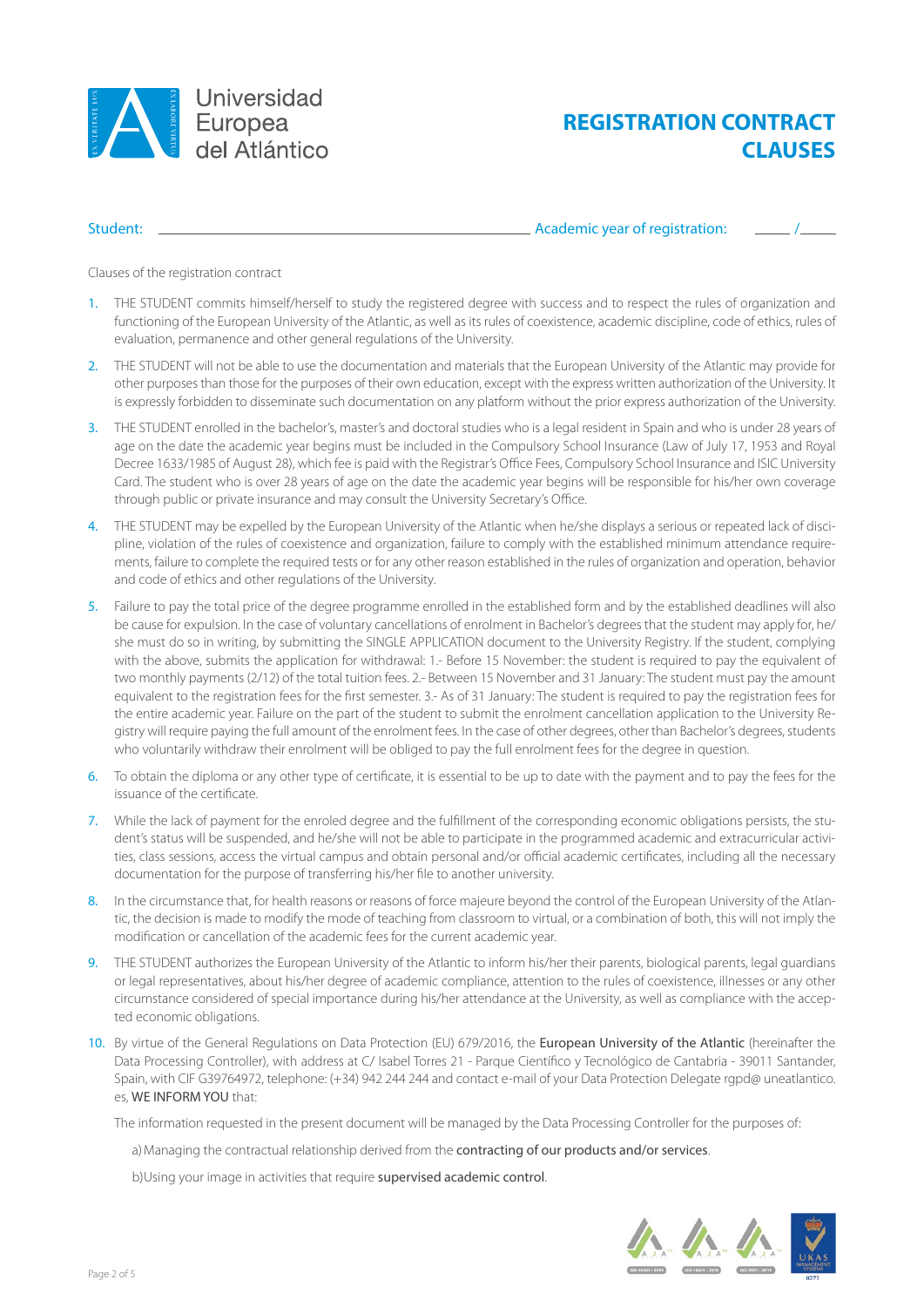

# **REGISTRATION CONTRACT CLAUSES**

Student: <u>Academic year of registration:</u>  $\overline{\phantom{a}}$  Academic year of registration:

Clauses of the registration contract

- 1. THE STUDENT commits himself/herself to study the registered degree with success and to respect the rules of organization and functioning of the European University of the Atlantic, as well as its rules of coexistence, academic discipline, code of ethics, rules of evaluation, permanence and other general regulations of the University.
- 2. THE STUDENT will not be able to use the documentation and materials that the European University of the Atlantic may provide for other purposes than those for the purposes of their own education, except with the express written authorization of the University. It is expressly forbidden to disseminate such documentation on any platform without the prior express authorization of the University.
- 3. THE STUDENT enrolled in the bachelor's, master's and doctoral studies who is a legal resident in Spain and who is under 28 years of age on the date the academic year begins must be included in the Compulsory School Insurance (Law of July 17, 1953 and Royal Decree 1633/1985 of August 28), which fee is paid with the Registrar's Office Fees, Compulsory School Insurance and ISIC University Card. The student who is over 28 years of age on the date the academic year begins will be responsible for his/her own coverage through public or private insurance and may consult the University Secretary's Office.
- 4. THE STUDENT may be expelled by the European University of the Atlantic when he/she displays a serious or repeated lack of discipline, violation of the rules of coexistence and organization, failure to comply with the established minimum attendance requirements, failure to complete the required tests or for any other reason established in the rules of organization and operation, behavior and code of ethics and other regulations of the University.
- 5. Failure to pay the total price of the degree programme enrolled in the established form and by the established deadlines will also be cause for expulsion. In the case of voluntary cancellations of enrolment in Bachelor's degrees that the student may apply for, he/ she must do so in writing, by submitting the SINGLE APPLICATION document to the University Registry. If the student, complying with the above, submits the application for withdrawal: 1.- Before 15 November: the student is required to pay the equivalent of two monthly payments (2/12) of the total tuition fees. 2.- Between 15 November and 31 January: The student must pay the amount equivalent to the registration fees for the first semester. 3.- As of 31 January: The student is required to pay the registration fees for the entire academic year. Failure on the part of the student to submit the enrolment cancellation application to the University Registry will require paying the full amount of the enrolment fees. In the case of other degrees, other than Bachelor's degrees, students who voluntarily withdraw their enrolment will be obliged to pay the full enrolment fees for the degree in question.
- 6. To obtain the diploma or any other type of certificate, it is essential to be up to date with the payment and to pay the fees for the issuance of the certificate.
- 7. While the lack of payment for the enroled degree and the fulfillment of the corresponding economic obligations persists, the student's status will be suspended, and he/she will not be able to participate in the programmed academic and extracurricular activities, class sessions, access the virtual campus and obtain personal and/or official academic certificates, including all the necessary documentation for the purpose of transferring his/her file to another university.
- 8. In the circumstance that, for health reasons or reasons of force majeure beyond the control of the European University of the Atlantic, the decision is made to modify the mode of teaching from classroom to virtual, or a combination of both, this will not imply the modification or cancellation of the academic fees for the current academic year.
- 9. THE STUDENT authorizes the European University of the Atlantic to inform his/her their parents, biological parents, legal guardians or legal representatives, about his/her degree of academic compliance, attention to the rules of coexistence, illnesses or any other circumstance considered of special importance during his/her attendance at the University, as well as compliance with the accepted economic obligations.
- 10. By virtue of the General Regulations on Data Protection (EU) 679/2016, the European University of the Atlantic (hereinafter the Data Processing Controller), with address at C/ Isabel Torres 21 - Parque Científico y Tecnológico de Cantabria - 39011 Santander, Spain, with CIF G39764972, telephone: (+34) 942 244 244 and contact e-mail of your Data Protection Delegate rgpd@ uneatlantico. es, WE INFORM YOU that:

The information requested in the present document will be managed by the Data Processing Controller for the purposes of:

- a) Managing the contractual relationship derived from the **contracting of our products and/or services**.
- b)Using your image in activities that require supervised academic control.

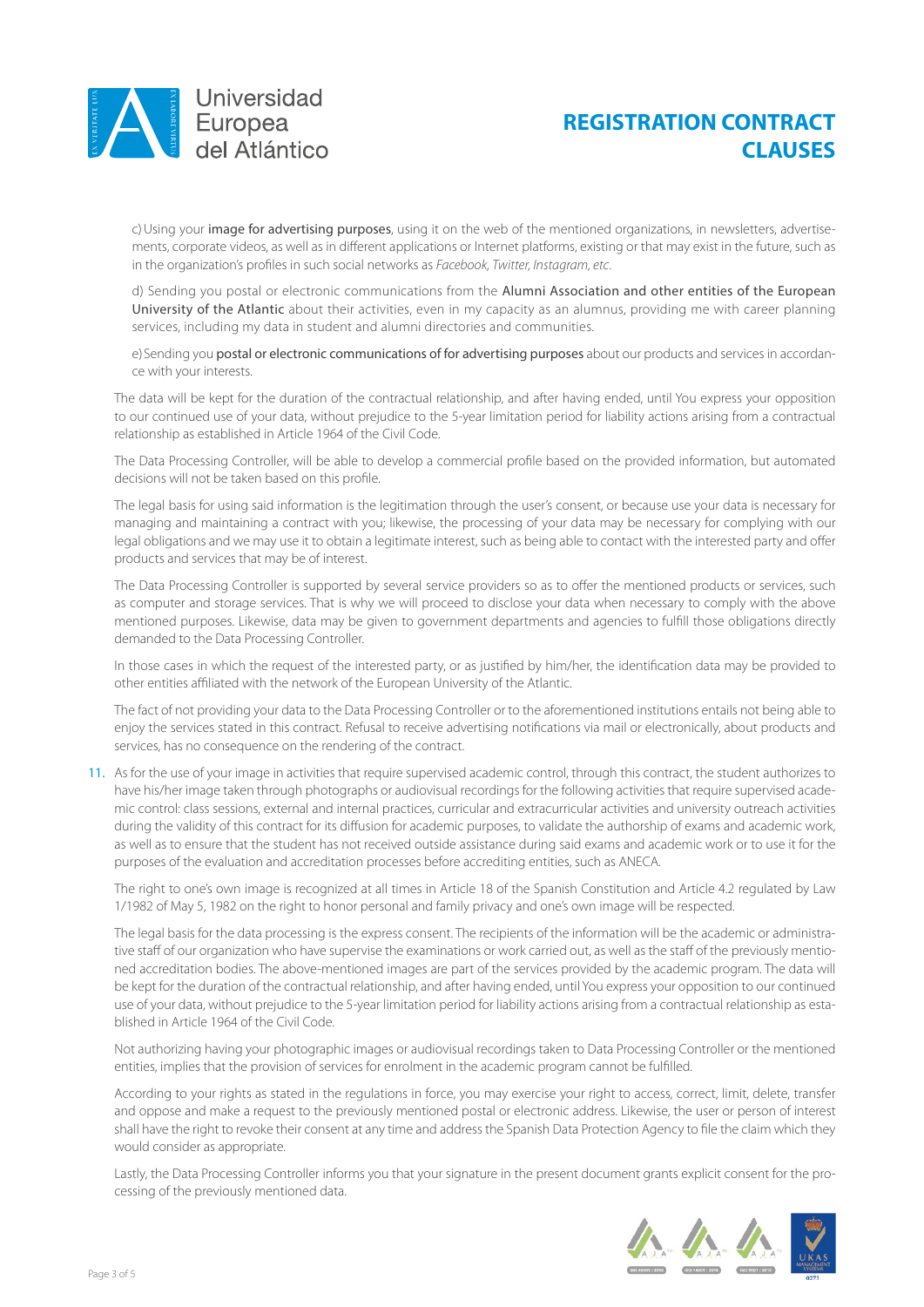

### **REGISTRATION CONTRACT CLAUSES**

c) Using your image for advertising purposes, using it on the web of the mentioned organizations, in newsletters, advertisements, corporate videos, as well as in different applications or Internet platforms, existing or that may exist in the future, such as in the organization's profiles in such social networks as *Facebook, Twitter, Instagram, etc*.

d) Sending you postal or electronic communications from the Alumni Association and other entities of the European University of the Atlantic about their activities, even in my capacity as an alumnus, providing me with career planning services, including my data in student and alumni directories and communities.

e) Sending you postal or electronic communications of for advertising purposes about our products and services in accordance with your interests.

The data will be kept for the duration of the contractual relationship, and after having ended, until You express your opposition to our continued use of your data, without prejudice to the 5-year limitation period for liability actions arising from a contractual relationship as established in Article 1964 of the Civil Code.

The Data Processing Controller, will be able to develop a commercial profile based on the provided information, but automated decisions will not be taken based on this profile.

The legal basis for using said information is the legitimation through the user's consent, or because use your data is necessary for managing and maintaining a contract with you; likewise, the processing of your data may be necessary for complying with our legal obligations and we may use it to obtain a legitimate interest, such as being able to contact with the interested party and offer products and services that may be of interest.

The Data Processing Controller is supported by several service providers so as to offer the mentioned products or services, such as computer and storage services. That is why we will proceed to disclose your data when necessary to comply with the above mentioned purposes. Likewise, data may be given to government departments and agencies to fulfill those obligations directly demanded to the Data Processing Controller.

In those cases in which the request of the interested party, or as justified by him/her, the identification data may be provided to other entities affiliated with the network of the European University of the Atlantic.

The fact of not providing your data to the Data Processing Controller or to the aforementioned institutions entails not being able to enjoy the services stated in this contract. Refusal to receive advertising notifications via mail or electronically, about products and services, has no consequence on the rendering of the contract.

11. As for the use of your image in activities that require supervised academic control, through this contract, the student authorizes to have his/her image taken through photographs or audiovisual recordings for the following activities that require supervised academic control: class sessions, external and internal practices, curricular and extracurricular activities and university outreach activities during the validity of this contract for its diffusion for academic purposes, to validate the authorship of exams and academic work, as well as to ensure that the student has not received outside assistance during said exams and academic work or to use it for the purposes of the evaluation and accreditation processes before accrediting entities, such as ANECA.

The right to one's own image is recognized at all times in Article 18 of the Spanish Constitution and Article 4.2 regulated by Law 1/1982 of May 5, 1982 on the right to honor personal and family privacy and one's own image will be respected.

The legal basis for the data processing is the express consent. The recipients of the information will be the academic or administrative staff of our organization who have supervise the examinations or work carried out, as well as the staff of the previously mentioned accreditation bodies. The above-mentioned images are part of the services provided by the academic program. The data will be kept for the duration of the contractual relationship, and after having ended, until You express your opposition to our continued use of your data, without prejudice to the 5-year limitation period for liability actions arising from a contractual relationship as established in Article 1964 of the Civil Code.

Not authorizing having your photographic images or audiovisual recordings taken to Data Processing Controller or the mentioned entities, implies that the provision of services for enrolment in the academic program cannot be fulfilled.

According to your rights as stated in the regulations in force, you may exercise your right to access, correct, limit, delete, transfer and oppose and make a request to the previously mentioned postal or electronic address. Likewise, the user or person of interest shall have the right to revoke their consent at any time and address the Spanish Data Protection Agency to file the claim which they would consider as appropriate.

Lastly, the Data Processing Controller informs you that your signature in the present document grants explicit consent for the processing of the previously mentioned data.

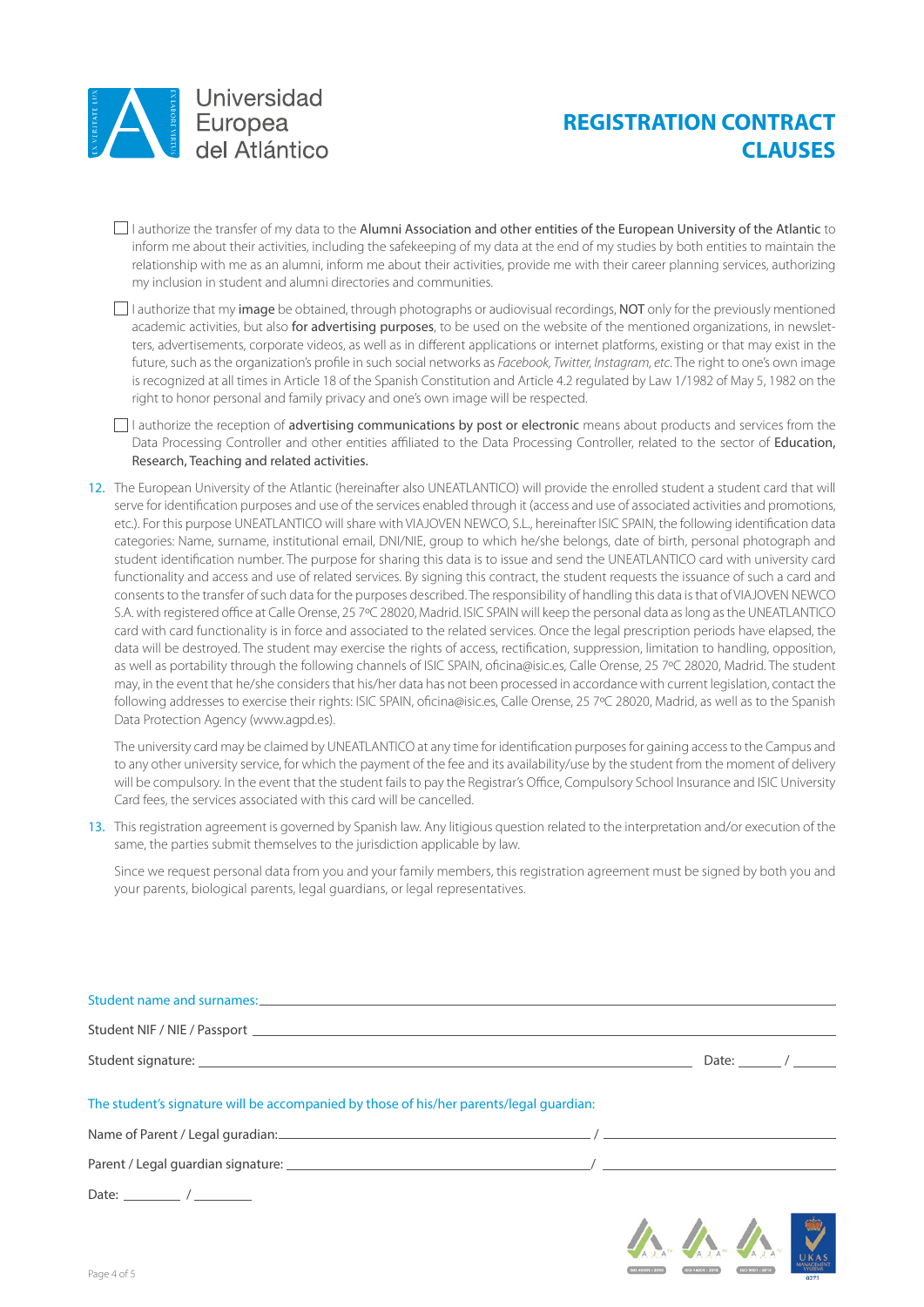

# **REGISTRATION CONTRACT CLAUSES**

 $\Box$  I authorize the transfer of my data to the Alumni Association and other entities of the European University of the Atlantic to inform me about their activities, including the safekeeping of my data at the end of my studies by both entities to maintain the relationship with me as an alumni, inform me about their activities, provide me with their career planning services, authorizing my inclusion in student and alumni directories and communities.

 $\Box$  I authorize that my image be obtained, through photographs or audiovisual recordings, NOT only for the previously mentioned academic activities, but also for advertising purposes, to be used on the website of the mentioned organizations, in newsletters, advertisements, corporate videos, as well as in different applications or internet platforms, existing or that may exist in the future, such as the organization's profile in such social networks as *Facebook, Twitter, Instagram, etc*. The right to one's own image is recognized at all times in Article 18 of the Spanish Constitution and Article 4.2 regulated by Law 1/1982 of May 5, 1982 on the right to honor personal and family privacy and one's own image will be respected.

 $\Box$  I authorize the reception of advertising communications by post or electronic means about products and services from the Data Processing Controller and other entities affiliated to the Data Processing Controller, related to the sector of Education, Research, Teaching and related activities.

12. The European University of the Atlantic (hereinafter also UNEATLANTICO) will provide the enrolled student a student card that will serve for identification purposes and use of the services enabled through it (access and use of associated activities and promotions, etc.). For this purpose UNEATLANTICO will share with VIAJOVEN NEWCO, S.L., hereinafter ISIC SPAIN, the following identification data categories: Name, surname, institutional email, DNI/NIE, group to which he/she belongs, date of birth, personal photograph and student identification number. The purpose for sharing this data is to issue and send the UNEATLANTICO card with university card functionality and access and use of related services. By signing this contract, the student requests the issuance of such a card and consents to the transfer of such data for the purposes described. The responsibility of handling this data is that of VIAJOVEN NEWCO S.A. with registered office at Calle Orense, 25 7ºC 28020, Madrid. ISIC SPAIN will keep the personal data as long as the UNEATLANTICO card with card functionality is in force and associated to the related services. Once the legal prescription periods have elapsed, the data will be destroyed. The student may exercise the rights of access, rectification, suppression, limitation to handling, opposition, as well as portability through the following channels of ISIC SPAIN, oficina@isic.es, Calle Orense, 25 7°C 28020, Madrid. The student may, in the event that he/she considers that his/her data has not been processed in accordance with current legislation, contact the following addresses to exercise their rights: ISIC SPAIN, oficina@isic.es, Calle Orense, 25 7ºC 28020, Madrid, as well as to the Spanish Data Protection Agency (www.agpd.es).

The university card may be claimed by UNEATLANTICO at any time for identification purposes for gaining access to the Campus and to any other university service, for which the payment of the fee and its availability/use by the student from the moment of delivery will be compulsory. In the event that the student fails to pay the Registrar's Office, Compulsory School Insurance and ISIC University Card fees, the services associated with this card will be cancelled.

13. This registration agreement is governed by Spanish law. Any litigious question related to the interpretation and/or execution of the same, the parties submit themselves to the jurisdiction applicable by law.

Since we request personal data from you and your family members, this registration agreement must be signed by both you and your parents, biological parents, legal guardians, or legal representatives.

| Student name and surnames: example and subset of the state of the state of the state of the state of the state of the state of the state of the state of the state of the state of the state of the state of the state of the |                                                            |
|-------------------------------------------------------------------------------------------------------------------------------------------------------------------------------------------------------------------------------|------------------------------------------------------------|
|                                                                                                                                                                                                                               |                                                            |
|                                                                                                                                                                                                                               | Date: $\frac{1}{\sqrt{1-\frac{1}{2}}}\sqrt{1-\frac{1}{2}}$ |
| The student's signature will be accompanied by those of his/her parents/legal quardian:                                                                                                                                       |                                                            |
|                                                                                                                                                                                                                               |                                                            |
|                                                                                                                                                                                                                               |                                                            |
| Date: $\sqrt{2\pi}$                                                                                                                                                                                                           |                                                            |